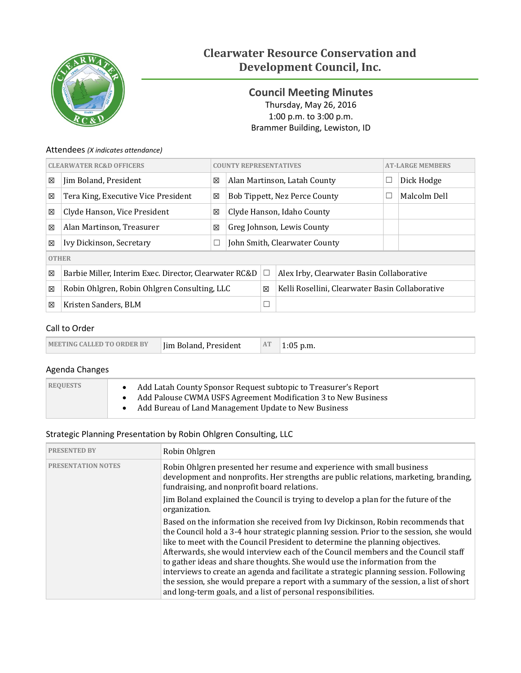

# **Clearwater Resource Conservation and Development Council, Inc.**

<span id="page-0-0"></span>**Council Meeting Minutes** Thursday, May 26, 2016 1:00 p.m. to 3:00 p.m. Brammer Building, Lewiston, ID

### Attendees *(X indicates attendance)*

| <b>CLEARWATER RC&amp;D OFFICERS</b>                         |                                              |        | <b>COUNTY REPRESENTATIVES</b> |                               |                                                 |  | <b>AT-LARGE MEMBERS</b> |  |  |
|-------------------------------------------------------------|----------------------------------------------|--------|-------------------------------|-------------------------------|-------------------------------------------------|--|-------------------------|--|--|
| 区                                                           | Jim Boland, President                        | 区      | Alan Martinson, Latah County  |                               |                                                 |  | Dick Hodge              |  |  |
| ⊠                                                           | Tera King, Executive Vice President          | X      |                               | Bob Tippett, Nez Perce County |                                                 |  | Malcolm Dell            |  |  |
| 区                                                           | Clyde Hanson, Vice President                 | 区      | Clyde Hanson, Idaho County    |                               |                                                 |  |                         |  |  |
| 区                                                           | Alan Martinson, Treasurer                    | 図      |                               | Greg Johnson, Lewis County    |                                                 |  |                         |  |  |
| 区                                                           | Ivy Dickinson, Secretary                     | $\Box$ | John Smith, Clearwater County |                               |                                                 |  |                         |  |  |
| <b>OTHER</b>                                                |                                              |        |                               |                               |                                                 |  |                         |  |  |
| 区<br>Barbie Miller, Interim Exec. Director, Clearwater RC&D |                                              |        |                               | □                             | Alex Irby, Clearwater Basin Collaborative       |  |                         |  |  |
| 区                                                           | Robin Ohlgren, Robin Ohlgren Consulting, LLC |        |                               | 図                             | Kelli Rosellini, Clearwater Basin Collaborative |  |                         |  |  |
| ⊠                                                           | Kristen Sanders, BLM                         |        |                               |                               |                                                 |  |                         |  |  |

### Call to Order

| <b>MEETING CALLED TO ORDER BY</b><br>In Boland, President | AT | 1:05 p.m. |
|-----------------------------------------------------------|----|-----------|
|-----------------------------------------------------------|----|-----------|

# Agenda Changes

| <b>REQUESTS</b> | Add Latah County Sponsor Request subtopic to Treasurer's Report<br>Add Palouse CWMA USFS Agreement Modification 3 to New Business<br>Add Bureau of Land Management Update to New Business |
|-----------------|-------------------------------------------------------------------------------------------------------------------------------------------------------------------------------------------|
|-----------------|-------------------------------------------------------------------------------------------------------------------------------------------------------------------------------------------|

### Strategic Planning Presentation by Robin Ohlgren Consulting, LLC

| <b>PRESENTED BY</b>       | Robin Ohlgren                                                                                                                                                                                                                                                                                                                                                                                                                                                                                                                                                                                                                                                                      |
|---------------------------|------------------------------------------------------------------------------------------------------------------------------------------------------------------------------------------------------------------------------------------------------------------------------------------------------------------------------------------------------------------------------------------------------------------------------------------------------------------------------------------------------------------------------------------------------------------------------------------------------------------------------------------------------------------------------------|
| <b>PRESENTATION NOTES</b> | Robin Ohlgren presented her resume and experience with small business<br>development and nonprofits. Her strengths are public relations, marketing, branding,<br>fundraising, and nonprofit board relations.                                                                                                                                                                                                                                                                                                                                                                                                                                                                       |
|                           | Jim Boland explained the Council is trying to develop a plan for the future of the<br>organization.                                                                                                                                                                                                                                                                                                                                                                                                                                                                                                                                                                                |
|                           | Based on the information she received from Ivy Dickinson, Robin recommends that<br>the Council hold a 3-4 hour strategic planning session. Prior to the session, she would<br>like to meet with the Council President to determine the planning objectives.<br>Afterwards, she would interview each of the Council members and the Council staff<br>to gather ideas and share thoughts. She would use the information from the<br>interviews to create an agenda and facilitate a strategic planning session. Following<br>the session, she would prepare a report with a summary of the session, a list of short<br>and long-term goals, and a list of personal responsibilities. |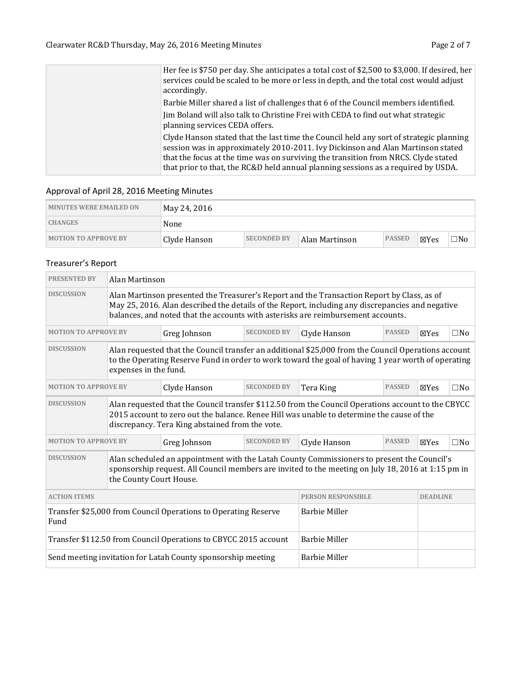| Her fee is \$750 per day. She anticipates a total cost of \$2,500 to \$3,000. If desired, her<br>services could be scaled to be more or less in depth, and the total cost would adjust<br>accordingly.                                                                                                                                               |
|------------------------------------------------------------------------------------------------------------------------------------------------------------------------------------------------------------------------------------------------------------------------------------------------------------------------------------------------------|
| Barbie Miller shared a list of challenges that 6 of the Council members identified.                                                                                                                                                                                                                                                                  |
| Jim Boland will also talk to Christine Frei with CEDA to find out what strategic<br>planning services CEDA offers.                                                                                                                                                                                                                                   |
| Clyde Hanson stated that the last time the Council held any sort of strategic planning<br>session was in approximately 2010-2011. Ivy Dickinson and Alan Martinson stated<br>that the focus at the time was on surviving the transition from NRCS. Clyde stated<br>that prior to that, the RC&D held annual planning sessions as a required by USDA. |

# Approval of April 28, 2016 Meeting Minutes

| <b>MINUTES WERE EMAILED ON</b> | May 24, 2016 |                    |                 |               |      |     |
|--------------------------------|--------------|--------------------|-----------------|---------------|------|-----|
| <b>CHANGES</b>                 | None         |                    |                 |               |      |     |
| <b>MOTION TO APPROVE BY</b>    | Clyde Hanson | <b>SECONDED BY</b> | ⊩Alan Martinson | <b>PASSED</b> | ⊠Yes | ⊐No |

# Treasurer's Report

| <b>PRESENTED BY</b>                                                                                                                                                                                                                              | Alan Martinson                                                                                                                                                                                                                                                                     |                                                              |                      |                           |               |                 |              |  |  |  |
|--------------------------------------------------------------------------------------------------------------------------------------------------------------------------------------------------------------------------------------------------|------------------------------------------------------------------------------------------------------------------------------------------------------------------------------------------------------------------------------------------------------------------------------------|--------------------------------------------------------------|----------------------|---------------------------|---------------|-----------------|--------------|--|--|--|
| <b>DISCUSSION</b>                                                                                                                                                                                                                                | Alan Martinson presented the Treasurer's Report and the Transaction Report by Class, as of<br>May 25, 2016. Alan described the details of the Report, including any discrepancies and negative<br>balances, and noted that the accounts with asterisks are reimbursement accounts. |                                                              |                      |                           |               |                 |              |  |  |  |
| <b>MOTION TO APPROVE BY</b>                                                                                                                                                                                                                      |                                                                                                                                                                                                                                                                                    | Greg Johnson                                                 | <b>SECONDED BY</b>   | Clyde Hanson              | <b>PASSED</b> | $\boxtimes$ Yes | $\square$ No |  |  |  |
| <b>DISCUSSION</b>                                                                                                                                                                                                                                | Alan requested that the Council transfer an additional \$25,000 from the Council Operations account<br>to the Operating Reserve Fund in order to work toward the goal of having 1 year worth of operating<br>expenses in the fund.                                                 |                                                              |                      |                           |               |                 |              |  |  |  |
| <b>MOTION TO APPROVE BY</b>                                                                                                                                                                                                                      |                                                                                                                                                                                                                                                                                    | Clyde Hanson                                                 | <b>SECONDED BY</b>   | Tera King                 | <b>PASSED</b> | $\boxtimes$ Yes | $\square$ No |  |  |  |
| <b>DISCUSSION</b>                                                                                                                                                                                                                                | Alan requested that the Council transfer \$112.50 from the Council Operations account to the CBYCC<br>2015 account to zero out the balance. Renee Hill was unable to determine the cause of the<br>discrepancy. Tera King abstained from the vote.                                 |                                                              |                      |                           |               |                 |              |  |  |  |
| <b>MOTION TO APPROVE BY</b>                                                                                                                                                                                                                      |                                                                                                                                                                                                                                                                                    | Greg Johnson                                                 | <b>SECONDED BY</b>   | Clyde Hanson              | <b>PASSED</b> | $\boxtimes$ Yes | $\square$ No |  |  |  |
| <b>DISCUSSION</b><br>Alan scheduled an appointment with the Latah County Commissioners to present the Council's<br>sponsorship request. All Council members are invited to the meeting on July 18, 2016 at 1:15 pm in<br>the County Court House. |                                                                                                                                                                                                                                                                                    |                                                              |                      |                           |               |                 |              |  |  |  |
| <b>ACTION ITEMS</b>                                                                                                                                                                                                                              |                                                                                                                                                                                                                                                                                    |                                                              |                      | <b>PERSON RESPONSIBLE</b> |               | <b>DEADLINE</b> |              |  |  |  |
| Transfer \$25,000 from Council Operations to Operating Reserve<br>Fund                                                                                                                                                                           |                                                                                                                                                                                                                                                                                    |                                                              | <b>Barbie Miller</b> |                           |               |                 |              |  |  |  |
| Transfer \$112.50 from Council Operations to CBYCC 2015 account                                                                                                                                                                                  |                                                                                                                                                                                                                                                                                    |                                                              | <b>Barbie Miller</b> |                           |               |                 |              |  |  |  |
|                                                                                                                                                                                                                                                  |                                                                                                                                                                                                                                                                                    | Send meeting invitation for Latah County sponsorship meeting | <b>Barbie Miller</b> |                           |               |                 |              |  |  |  |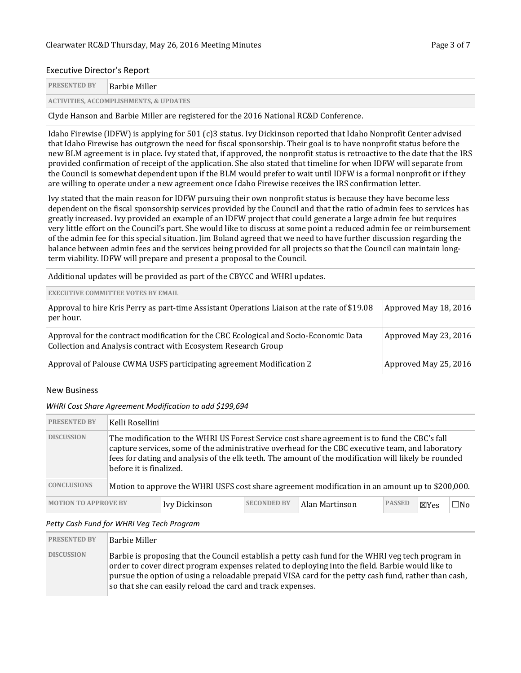### Executive Director's Report

**ACTIVITIES, ACCOMPLISHMENTS, & UPDATES**

Clyde Hanson and Barbie Miller are registered for the 2016 National RC&D Conference.

Idaho Firewise (IDFW) is applying for 501 (c)3 status. Ivy Dickinson reported that Idaho Nonprofit Center advised that Idaho Firewise has outgrown the need for fiscal sponsorship. Their goal is to have nonprofit status before the new BLM agreement is in place. Ivy stated that, if approved, the nonprofit status is retroactive to the date that the IRS provided confirmation of receipt of the application. She also stated that timeline for when IDFW will separate from the Council is somewhat dependent upon if the BLM would prefer to wait until IDFW is a formal nonprofit or if they are willing to operate under a new agreement once Idaho Firewise receives the IRS confirmation letter.

Ivy stated that the main reason for IDFW pursuing their own nonprofit status is because they have become less dependent on the fiscal sponsorship services provided by the Council and that the ratio of admin fees to services has greatly increased. Ivy provided an example of an IDFW project that could generate a large admin fee but requires very little effort on the Council's part. She would like to discuss at some point a reduced admin fee or reimbursement of the admin fee for this special situation. Jim Boland agreed that we need to have further discussion regarding the balance between admin fees and the services being provided for all projects so that the Council can maintain longterm viability. IDFW will prepare and present a proposal to the Council.

Additional updates will be provided as part of the CBYCC and WHRI updates.

| <b>EXECUTIVE COMMITTEE VOTES BY EMAIL</b>                                                                                                               |                       |
|---------------------------------------------------------------------------------------------------------------------------------------------------------|-----------------------|
| Approval to hire Kris Perry as part-time Assistant Operations Liaison at the rate of \$19.08<br> per hour.                                              | Approved May 18, 2016 |
| Approval for the contract modification for the CBC Ecological and Socio-Economic Data<br>Collection and Analysis contract with Ecosystem Research Group | Approved May 23, 2016 |
| Approval of Palouse CWMA USFS participating agreement Modification 2                                                                                    | Approved May 25, 2016 |

#### New Business

#### *WHRI Cost Share Agreement Modification to add \$199,694*

| <b>PRESENTED BY</b>                                                                                                   | Kelli Rosellini                                                                                                                                                                                                                                                                                                                      |               |                    |                |               |                 |     |  |  |  |
|-----------------------------------------------------------------------------------------------------------------------|--------------------------------------------------------------------------------------------------------------------------------------------------------------------------------------------------------------------------------------------------------------------------------------------------------------------------------------|---------------|--------------------|----------------|---------------|-----------------|-----|--|--|--|
| <b>DISCUSSION</b>                                                                                                     | The modification to the WHRI US Forest Service cost share agreement is to fund the CBC's fall<br>capture services, some of the administrative overhead for the CBC executive team, and laboratory<br>fees for dating and analysis of the elk teeth. The amount of the modification will likely be rounded<br>before it is finalized. |               |                    |                |               |                 |     |  |  |  |
| <b>CONCLUSIONS</b><br>Motion to approve the WHRI USFS cost share agreement modification in an amount up to \$200,000. |                                                                                                                                                                                                                                                                                                                                      |               |                    |                |               |                 |     |  |  |  |
| <b>MOTION TO APPROVE BY</b>                                                                                           |                                                                                                                                                                                                                                                                                                                                      | Ivy Dickinson | <b>SECONDED BY</b> | Alan Martinson | <b>PASSED</b> | $\boxtimes$ Yes | ⊐No |  |  |  |

#### *Petty Cash Fund for WHRI Veg Tech Program*

| <b>PRESENTED BY</b> | <b>Barbie Miller</b>                                                                                                                                                                                                                                                                                                                                                        |
|---------------------|-----------------------------------------------------------------------------------------------------------------------------------------------------------------------------------------------------------------------------------------------------------------------------------------------------------------------------------------------------------------------------|
| <b>DISCUSSION</b>   | Barbie is proposing that the Council establish a petty cash fund for the WHRI veg tech program in<br>order to cover direct program expenses related to deploying into the field. Barbie would like to<br>pursue the option of using a reloadable prepaid VISA card for the petty cash fund, rather than cash,<br>so that she can easily reload the card and track expenses. |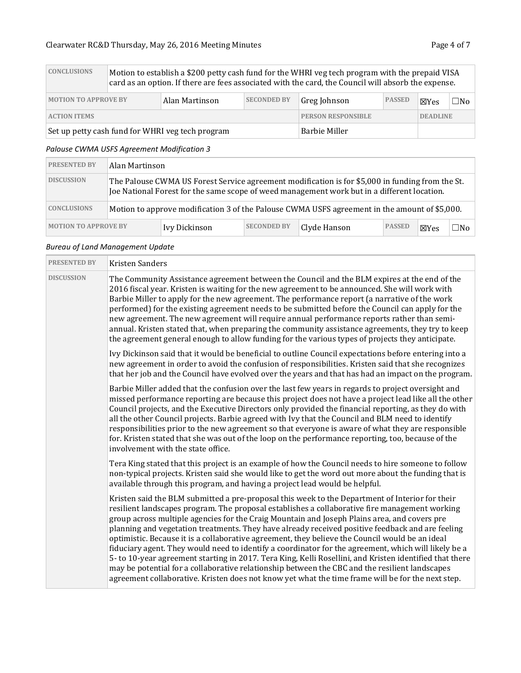| <b>CONCLUSIONS</b>          | Motion to establish a \$200 petty cash fund for the WHRI veg tech program with the prepaid VISA<br>card as an option. If there are fees associated with the card, the Council will absorb the expense. |                                                  |                           |               |                 |     |  |  |  |  |
|-----------------------------|--------------------------------------------------------------------------------------------------------------------------------------------------------------------------------------------------------|--------------------------------------------------|---------------------------|---------------|-----------------|-----|--|--|--|--|
| <b>MOTION TO APPROVE BY</b> |                                                                                                                                                                                                        | <b>SECONDED BY</b>                               | Greg Johnson              | <b>PASSED</b> | <b>X</b> Yes    | ⊐No |  |  |  |  |
| <b>ACTION ITEMS</b>         |                                                                                                                                                                                                        |                                                  | <b>PERSON RESPONSIBLE</b> |               | <b>DEADLINE</b> |     |  |  |  |  |
|                             |                                                                                                                                                                                                        | Set up petty cash fund for WHRI veg tech program |                           | Barbie Miller |                 |     |  |  |  |  |

### *Palouse CWMA USFS Agreement Modification 3*

| <b>PRESENTED BY</b>         | Alan Martinson                                                                                                                                                                                  |               |                    |              |               |      |       |
|-----------------------------|-------------------------------------------------------------------------------------------------------------------------------------------------------------------------------------------------|---------------|--------------------|--------------|---------------|------|-------|
| <b>DISCUSSION</b>           | The Palouse CWMA US Forest Service agreement modification is for \$5,000 in funding from the St.<br>Joe National Forest for the same scope of weed management work but in a different location. |               |                    |              |               |      |       |
| <b>CONCLUSIONS</b>          | Motion to approve modification 3 of the Palouse CWMA USFS agreement in the amount of \$5,000.                                                                                                   |               |                    |              |               |      |       |
| <b>MOTION TO APPROVE BY</b> |                                                                                                                                                                                                 | Ivy Dickinson | <b>SECONDED BY</b> | Clyde Hanson | <b>PASSED</b> | ⊠Yes | ∃No l |

### *Bureau of Land Management Update*

| <b>PRESENTED BY</b> | Kristen Sanders                                                                                                                                                                                                                                                                                                                                                                                                                                                                                                                                                                                                                                                                                                                                                                                                                                                                                                                   |
|---------------------|-----------------------------------------------------------------------------------------------------------------------------------------------------------------------------------------------------------------------------------------------------------------------------------------------------------------------------------------------------------------------------------------------------------------------------------------------------------------------------------------------------------------------------------------------------------------------------------------------------------------------------------------------------------------------------------------------------------------------------------------------------------------------------------------------------------------------------------------------------------------------------------------------------------------------------------|
| <b>DISCUSSION</b>   | The Community Assistance agreement between the Council and the BLM expires at the end of the<br>2016 fiscal year. Kristen is waiting for the new agreement to be announced. She will work with<br>Barbie Miller to apply for the new agreement. The performance report (a narrative of the work<br>performed) for the existing agreement needs to be submitted before the Council can apply for the<br>new agreement. The new agreement will require annual performance reports rather than semi-<br>annual. Kristen stated that, when preparing the community assistance agreements, they try to keep<br>the agreement general enough to allow funding for the various types of projects they anticipate.                                                                                                                                                                                                                        |
|                     | Ivy Dickinson said that it would be beneficial to outline Council expectations before entering into a<br>new agreement in order to avoid the confusion of responsibilities. Kristen said that she recognizes<br>that her job and the Council have evolved over the years and that has had an impact on the program.                                                                                                                                                                                                                                                                                                                                                                                                                                                                                                                                                                                                               |
|                     | Barbie Miller added that the confusion over the last few years in regards to project oversight and<br>missed performance reporting are because this project does not have a project lead like all the other<br>Council projects, and the Executive Directors only provided the financial reporting, as they do with<br>all the other Council projects. Barbie agreed with Ivy that the Council and BLM need to identify<br>responsibilities prior to the new agreement so that everyone is aware of what they are responsible<br>for. Kristen stated that she was out of the loop on the performance reporting, too, because of the<br>involvement with the state office.                                                                                                                                                                                                                                                         |
|                     | Tera King stated that this project is an example of how the Council needs to hire someone to follow<br>non-typical projects. Kristen said she would like to get the word out more about the funding that is<br>available through this program, and having a project lead would be helpful.                                                                                                                                                                                                                                                                                                                                                                                                                                                                                                                                                                                                                                        |
|                     | Kristen said the BLM submitted a pre-proposal this week to the Department of Interior for their<br>resilient landscapes program. The proposal establishes a collaborative fire management working<br>group across multiple agencies for the Craig Mountain and Joseph Plains area, and covers pre<br>planning and vegetation treatments. They have already received positive feedback and are feeling<br>optimistic. Because it is a collaborative agreement, they believe the Council would be an ideal<br>fiduciary agent. They would need to identify a coordinator for the agreement, which will likely be a<br>5-to 10-year agreement starting in 2017. Tera King, Kelli Rosellini, and Kristen identified that there<br>may be potential for a collaborative relationship between the CBC and the resilient landscapes<br>agreement collaborative. Kristen does not know yet what the time frame will be for the next step. |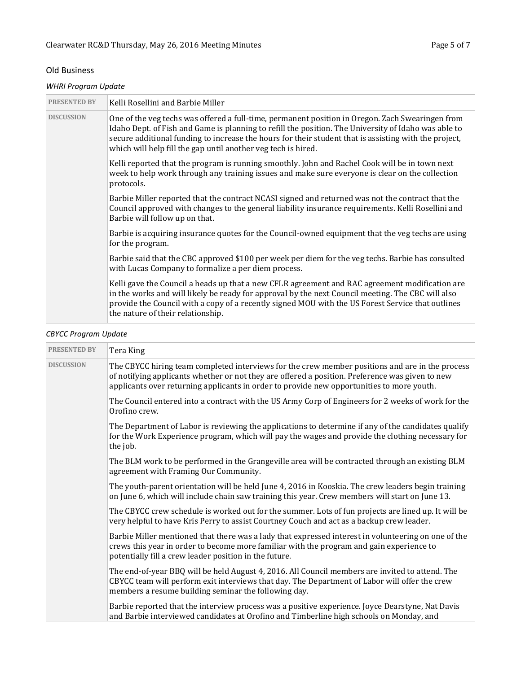### Old Business

### *WHRI Program Update*

| <b>PRESENTED BY</b> | Kelli Rosellini and Barbie Miller                                                                                                                                                                                                                                                                                                                                                  |
|---------------------|------------------------------------------------------------------------------------------------------------------------------------------------------------------------------------------------------------------------------------------------------------------------------------------------------------------------------------------------------------------------------------|
| <b>DISCUSSION</b>   | One of the veg techs was offered a full-time, permanent position in Oregon. Zach Swearingen from<br>Idaho Dept. of Fish and Game is planning to refill the position. The University of Idaho was able to<br>secure additional funding to increase the hours for their student that is assisting with the project,<br>which will help fill the gap until another veg tech is hired. |
|                     | Kelli reported that the program is running smoothly. John and Rachel Cook will be in town next<br>week to help work through any training issues and make sure everyone is clear on the collection<br>protocols.                                                                                                                                                                    |
|                     | Barbie Miller reported that the contract NCASI signed and returned was not the contract that the<br>Council approved with changes to the general liability insurance requirements. Kelli Rosellini and<br>Barbie will follow up on that.                                                                                                                                           |
|                     | Barbie is acquiring insurance quotes for the Council-owned equipment that the veg techs are using<br>for the program.                                                                                                                                                                                                                                                              |
|                     | Barbie said that the CBC approved \$100 per week per diem for the veg techs. Barbie has consulted<br>with Lucas Company to formalize a per diem process.                                                                                                                                                                                                                           |
|                     | Kelli gave the Council a heads up that a new CFLR agreement and RAC agreement modification are<br>in the works and will likely be ready for approval by the next Council meeting. The CBC will also<br>provide the Council with a copy of a recently signed MOU with the US Forest Service that outlines<br>the nature of their relationship.                                      |

# *CBYCC Program Update*

| <b>PRESENTED BY</b> | Tera King                                                                                                                                                                                                                                                                                       |
|---------------------|-------------------------------------------------------------------------------------------------------------------------------------------------------------------------------------------------------------------------------------------------------------------------------------------------|
| <b>DISCUSSION</b>   | The CBYCC hiring team completed interviews for the crew member positions and are in the process<br>of notifying applicants whether or not they are offered a position. Preference was given to new<br>applicants over returning applicants in order to provide new opportunities to more youth. |
|                     | The Council entered into a contract with the US Army Corp of Engineers for 2 weeks of work for the<br>Orofino crew.                                                                                                                                                                             |
|                     | The Department of Labor is reviewing the applications to determine if any of the candidates qualify<br>for the Work Experience program, which will pay the wages and provide the clothing necessary for<br>the job.                                                                             |
|                     | The BLM work to be performed in the Grangeville area will be contracted through an existing BLM<br>agreement with Framing Our Community.                                                                                                                                                        |
|                     | The youth-parent orientation will be held June 4, 2016 in Kooskia. The crew leaders begin training<br>on June 6, which will include chain saw training this year. Crew members will start on June 13.                                                                                           |
|                     | The CBYCC crew schedule is worked out for the summer. Lots of fun projects are lined up. It will be<br>very helpful to have Kris Perry to assist Courtney Couch and act as a backup crew leader.                                                                                                |
|                     | Barbie Miller mentioned that there was a lady that expressed interest in volunteering on one of the<br>crews this year in order to become more familiar with the program and gain experience to<br>potentially fill a crew leader position in the future.                                       |
|                     | The end-of-year BBQ will be held August 4, 2016. All Council members are invited to attend. The<br>CBYCC team will perform exit interviews that day. The Department of Labor will offer the crew<br>members a resume building seminar the following day.                                        |
|                     | Barbie reported that the interview process was a positive experience. Joyce Dearstyne, Nat Davis<br>and Barbie interviewed candidates at Orofino and Timberline high schools on Monday, and                                                                                                     |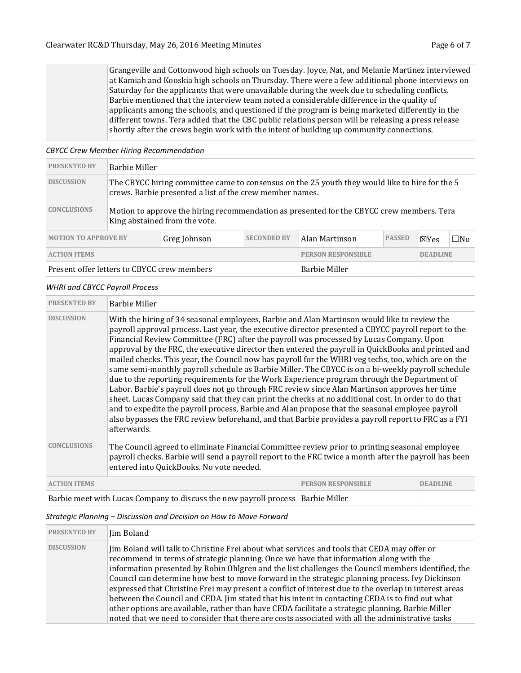Grangeville and Cottonwood high schools on Tuesday. Joyce, Nat, and Melanie Martinez interviewed at Kamiah and Kooskia high schools on Thursday. There were a few additional phone interviews on Saturday for the applicants that were unavailable during the week due to scheduling conflicts. Barbie mentioned that the interview team noted a considerable difference in the quality of applicants among the schools, and questioned if the program is being marketed differently in the different towns. Tera added that the CBC public relations person will be releasing a press release shortly after the crews begin work with the intent of building up community connections.

#### *CBYCC Crew Member Hiring Recommendation*

| <b>PRESENTED BY</b>                                                                                  | Barbie Miller                                                                                                                                              |  |                           |  |                 |              |  |
|------------------------------------------------------------------------------------------------------|------------------------------------------------------------------------------------------------------------------------------------------------------------|--|---------------------------|--|-----------------|--------------|--|
| <b>DISCUSSION</b>                                                                                    | The CBYCC hiring committee came to consensus on the 25 youth they would like to hire for the 5<br>crews. Barbie presented a list of the crew member names. |  |                           |  |                 |              |  |
| <b>CONCLUSIONS</b>                                                                                   | Motion to approve the hiring recommendation as presented for the CBYCC crew members. Tera<br>King abstained from the vote.                                 |  |                           |  |                 |              |  |
| <b>SECONDED BY</b><br><b>PASSED</b><br><b>MOTION TO APPROVE BY</b><br>Greg Johnson<br>Alan Martinson |                                                                                                                                                            |  |                           |  | $\boxtimes$ Yes | $\square$ No |  |
| <b>ACTION ITEMS</b>                                                                                  |                                                                                                                                                            |  | <b>PERSON RESPONSIBLE</b> |  | <b>DEADLINE</b> |              |  |
| Present offer letters to CBYCC crew members<br>Barbie Miller                                         |                                                                                                                                                            |  |                           |  |                 |              |  |

#### *WHRI and CBYCC Payroll Process*

| <b>PRESENTED BY</b> | <b>Barbie Miller</b>                                                                                                                                                                                                                                                                                                                                                                                                                                                                                                                                                                                                                                                                                                                                                                                                                                                                                                                                                                                                                                                                                                                            |                           |                 |  |  |
|---------------------|-------------------------------------------------------------------------------------------------------------------------------------------------------------------------------------------------------------------------------------------------------------------------------------------------------------------------------------------------------------------------------------------------------------------------------------------------------------------------------------------------------------------------------------------------------------------------------------------------------------------------------------------------------------------------------------------------------------------------------------------------------------------------------------------------------------------------------------------------------------------------------------------------------------------------------------------------------------------------------------------------------------------------------------------------------------------------------------------------------------------------------------------------|---------------------------|-----------------|--|--|
| <b>DISCUSSION</b>   | With the hiring of 34 seasonal employees, Barbie and Alan Martinson would like to review the<br>payroll approval process. Last year, the executive director presented a CBYCC payroll report to the<br>Financial Review Committee (FRC) after the payroll was processed by Lucas Company. Upon<br>approval by the FRC, the executive director then entered the payroll in QuickBooks and printed and<br>mailed checks. This year, the Council now has payroll for the WHRI veg techs, too, which are on the<br>same semi-monthly payroll schedule as Barbie Miller. The CBYCC is on a bi-weekly payroll schedule<br>due to the reporting requirements for the Work Experience program through the Department of<br>Labor. Barbie's payroll does not go through FRC review since Alan Martinson approves her time<br>sheet. Lucas Company said that they can print the checks at no additional cost. In order to do that<br>and to expedite the payroll process, Barbie and Alan propose that the seasonal employee payroll<br>also bypasses the FRC review beforehand, and that Barbie provides a payroll report to FRC as a FYI<br>afterwards. |                           |                 |  |  |
| <b>CONCLUSIONS</b>  | The Council agreed to eliminate Financial Committee review prior to printing seasonal employee<br>payroll checks. Barbie will send a payroll report to the FRC twice a month after the payroll has been<br>entered into QuickBooks. No vote needed.                                                                                                                                                                                                                                                                                                                                                                                                                                                                                                                                                                                                                                                                                                                                                                                                                                                                                             |                           |                 |  |  |
| <b>ACTION ITEMS</b> |                                                                                                                                                                                                                                                                                                                                                                                                                                                                                                                                                                                                                                                                                                                                                                                                                                                                                                                                                                                                                                                                                                                                                 | <b>PERSON RESPONSIBLE</b> | <b>DEADLINE</b> |  |  |
|                     |                                                                                                                                                                                                                                                                                                                                                                                                                                                                                                                                                                                                                                                                                                                                                                                                                                                                                                                                                                                                                                                                                                                                                 |                           |                 |  |  |

Barbie meet with Lucas Company to discuss the new payroll process | Barbie Miller

### *Strategic Planning – Discussion and Decision on How to Move Forward*

| <b>PRESENTED BY</b> | Jim Boland                                                                                                                                                                                                                                                                                                                                                                                                                                                                                                                                                                                                                                                                                                                                                                                                          |
|---------------------|---------------------------------------------------------------------------------------------------------------------------------------------------------------------------------------------------------------------------------------------------------------------------------------------------------------------------------------------------------------------------------------------------------------------------------------------------------------------------------------------------------------------------------------------------------------------------------------------------------------------------------------------------------------------------------------------------------------------------------------------------------------------------------------------------------------------|
| <b>DISCUSSION</b>   | Jim Boland will talk to Christine Frei about what services and tools that CEDA may offer or<br>recommend in terms of strategic planning. Once we have that information along with the<br>information presented by Robin Ohlgren and the list challenges the Council members identified, the<br>Council can determine how best to move forward in the strategic planning process. Ivy Dickinson<br>expressed that Christine Frei may present a conflict of interest due to the overlap in interest areas<br>between the Council and CEDA. Jim stated that his intent in contacting CEDA is to find out what<br>other options are available, rather than have CEDA facilitate a strategic planning. Barbie Miller<br>noted that we need to consider that there are costs associated with all the administrative tasks |